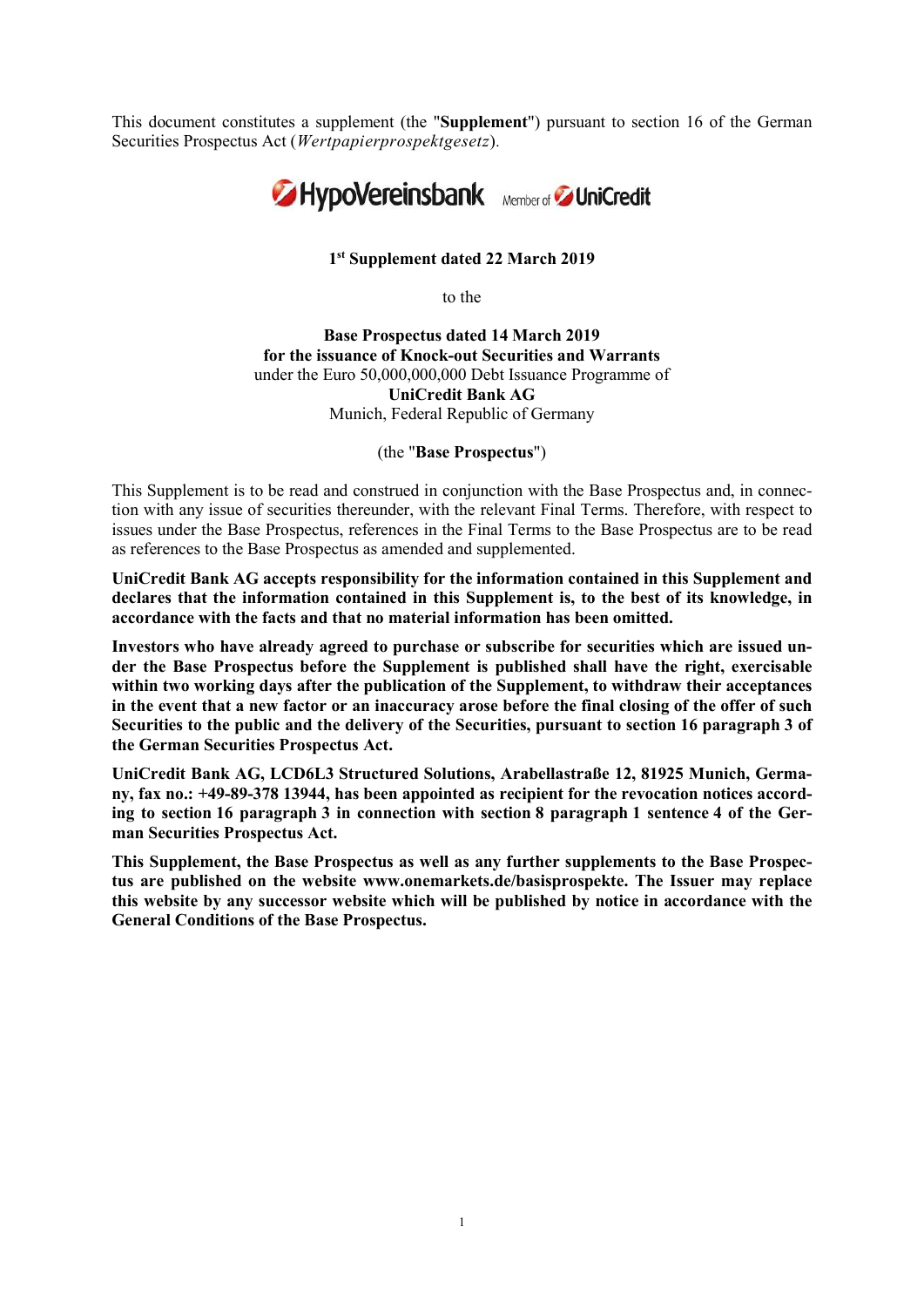This document constitutes a supplement (the "Supplement") pursuant to section 16 of the German Securities Prospectus Act (Wertpapierprospektgesetz).



1 st Supplement dated 22 March 2019

to the

Base Prospectus dated 14 March 2019 for the issuance of Knock-out Securities and Warrants under the Euro 50,000,000,000 Debt Issuance Programme of UniCredit Bank AG Munich, Federal Republic of Germany

(the "Base Prospectus")

This Supplement is to be read and construed in conjunction with the Base Prospectus and, in connection with any issue of securities thereunder, with the relevant Final Terms. Therefore, with respect to issues under the Base Prospectus, references in the Final Terms to the Base Prospectus are to be read as references to the Base Prospectus as amended and supplemented.

UniCredit Bank AG accepts responsibility for the information contained in this Supplement and declares that the information contained in this Supplement is, to the best of its knowledge, in accordance with the facts and that no material information has been omitted.

Investors who have already agreed to purchase or subscribe for securities which are issued under the Base Prospectus before the Supplement is published shall have the right, exercisable within two working days after the publication of the Supplement, to withdraw their acceptances in the event that a new factor or an inaccuracy arose before the final closing of the offer of such Securities to the public and the delivery of the Securities, pursuant to section 16 paragraph 3 of the German Securities Prospectus Act.

UniCredit Bank AG, LCD6L3 Structured Solutions, Arabellastraße 12, 81925 Munich, Germany, fax no.: +49-89-378 13944, has been appointed as recipient for the revocation notices according to section 16 paragraph 3 in connection with section 8 paragraph 1 sentence 4 of the German Securities Prospectus Act.

This Supplement, the Base Prospectus as well as any further supplements to the Base Prospectus are published on the website www.onemarkets.de/basisprospekte. The Issuer may replace this website by any successor website which will be published by notice in accordance with the General Conditions of the Base Prospectus.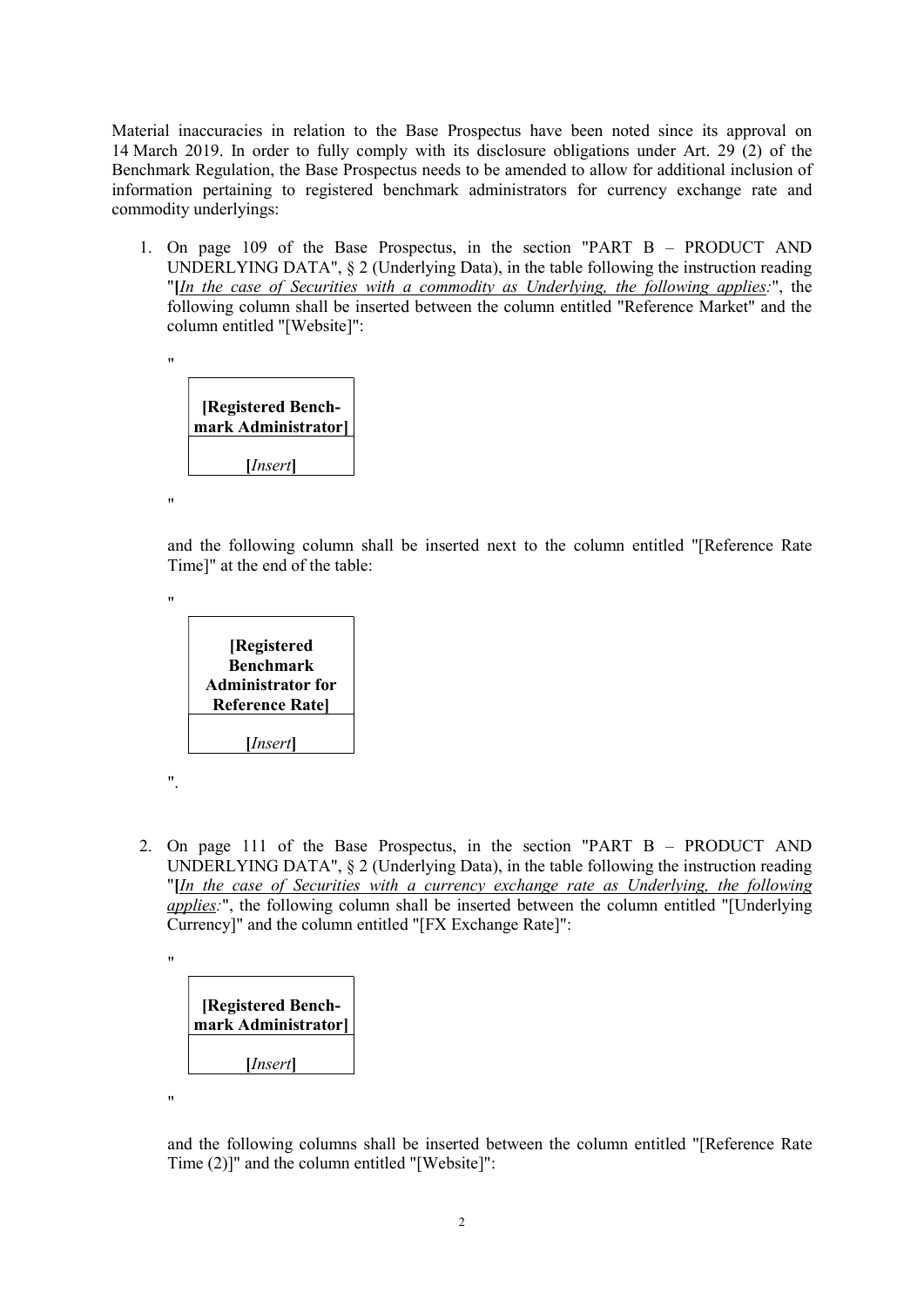Material inaccuracies in relation to the Base Prospectus have been noted since its approval on 14 March 2019. In order to fully comply with its disclosure obligations under Art. 29 (2) of the Benchmark Regulation, the Base Prospectus needs to be amended to allow for additional inclusion of information pertaining to registered benchmark administrators for currency exchange rate and commodity underlyings:

1. On page 109 of the Base Prospectus, in the section "PART B – PRODUCT AND UNDERLYING DATA", § 2 (Underlying Data), in the table following the instruction reading "[In the case of Securities with a commodity as Underlying, the following applies:", the following column shall be inserted between the column entitled "Reference Market" and the column entitled "[Website]":

| [Registered Bench-<br>mark Administrator] |  |  |
|-------------------------------------------|--|--|
|                                           |  |  |
| [ <i>Insert</i> ]                         |  |  |
|                                           |  |  |

"

"

"

and the following column shall be inserted next to the column entitled "[Reference Rate Time]" at the end of the table:

| [Registered              |
|--------------------------|
| Benchmark                |
| <b>Administrator for</b> |

Reference Rate]

[*Insert*]

2. On page 111 of the Base Prospectus, in the section "PART B – PRODUCT AND UNDERLYING DATA", § 2 (Underlying Data), in the table following the instruction reading "[In the case of Securities with a currency exchange rate as Underlying, the following applies:", the following column shall be inserted between the column entitled "[Underlying Currency]" and the column entitled "[FX Exchange Rate]":

".

| <b>[Registered Bench-</b><br>mark Administrator] |  |  |  |
|--------------------------------------------------|--|--|--|
| [ <i>Insert</i> ]                                |  |  |  |

"

and the following columns shall be inserted between the column entitled "[Reference Rate Time (2)]" and the column entitled "[Website]":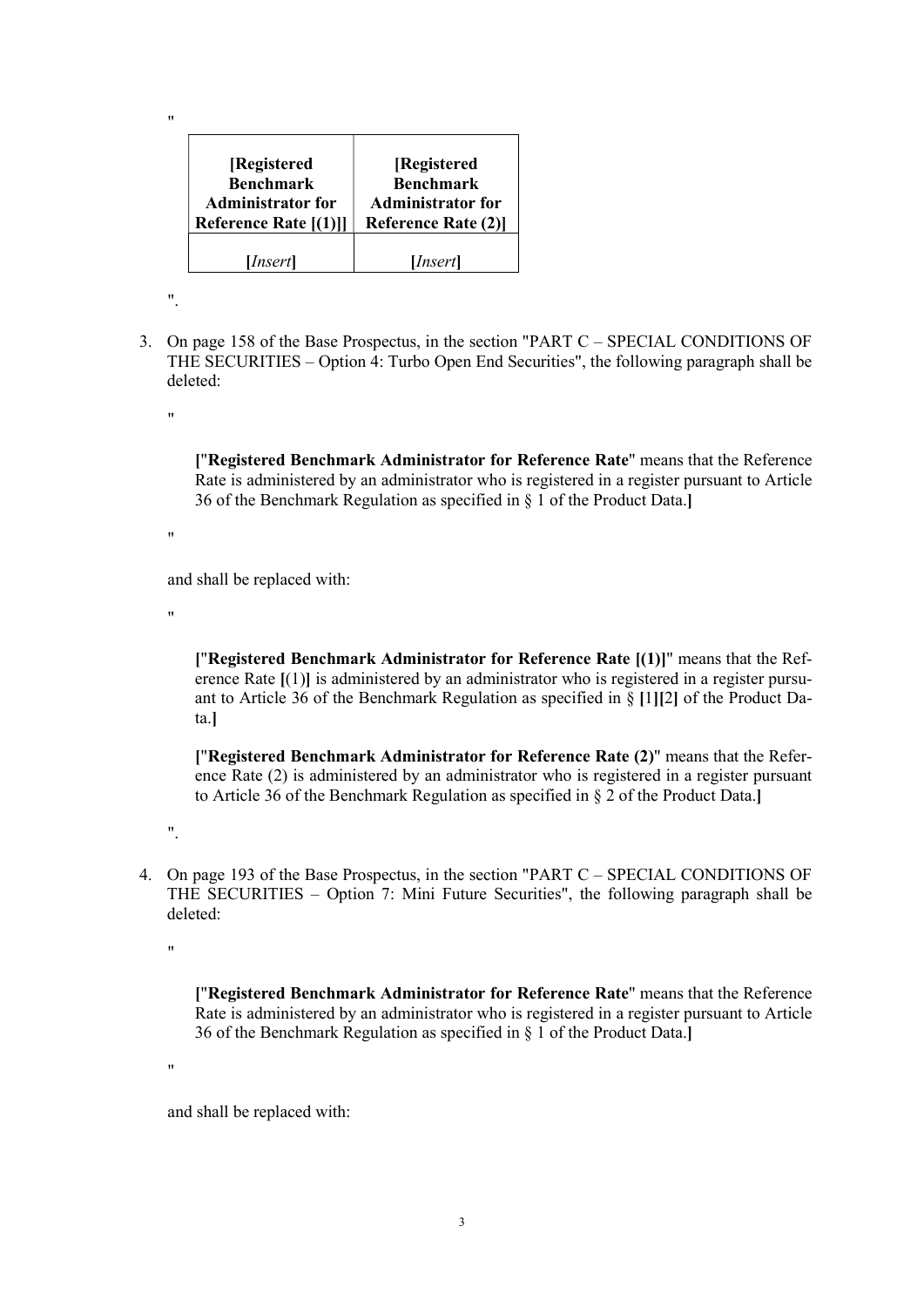| [Registered              | [Registered               |
|--------------------------|---------------------------|
| <b>Benchmark</b>         | <b>Benchmark</b>          |
| <b>Administrator for</b> | <b>Administrator for</b>  |
| Reference Rate [(1)]]    | <b>Reference Rate (2)</b> |
| [ <i>Insert</i> ]        | [ <i>Insert</i> ]         |

 $^{\prime\prime}$ .

"

3. On page 158 of the Base Prospectus, in the section "PART C – SPECIAL CONDITIONS OF THE SECURITIES – Option 4: Turbo Open End Securities", the following paragraph shall be deleted:

"

["Registered Benchmark Administrator for Reference Rate" means that the Reference Rate is administered by an administrator who is registered in a register pursuant to Article 36 of the Benchmark Regulation as specified in § 1 of the Product Data.]

 $^{\prime\prime}$ 

and shall be replaced with:

"

["Registered Benchmark Administrator for Reference Rate [(1)]" means that the Reference Rate [(1)] is administered by an administrator who is registered in a register pursuant to Article 36 of the Benchmark Regulation as specified in § [1][2] of the Product Data.]

["Registered Benchmark Administrator for Reference Rate (2)" means that the Reference Rate (2) is administered by an administrator who is registered in a register pursuant to Article 36 of the Benchmark Regulation as specified in § 2 of the Product Data.]

".

4. On page 193 of the Base Prospectus, in the section "PART C – SPECIAL CONDITIONS OF THE SECURITIES – Option 7: Mini Future Securities", the following paragraph shall be deleted:

"

["Registered Benchmark Administrator for Reference Rate" means that the Reference Rate is administered by an administrator who is registered in a register pursuant to Article 36 of the Benchmark Regulation as specified in § 1 of the Product Data.]

"

and shall be replaced with: